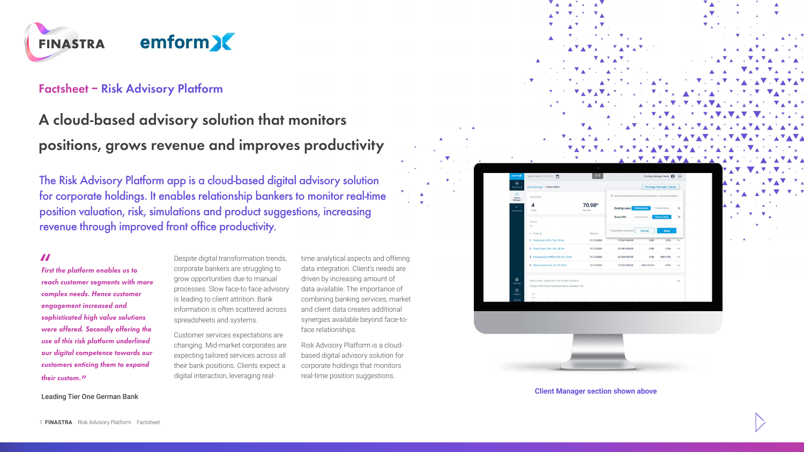

#### **Factsheet – Risk Advisory Platform**

## **A cloud-based advisory solution that monitors positions, grows revenue and improves productivity**

The Risk Advisory Platform app is a cloud-based digital advisory solution for corporate holdings. It enables relationship bankers to monitor real-time position valuation, risk, simulations and product suggestions, increasing revenue through improved front office productivity.

#### **"**

**First the platform enables us to reach customer segments with more complex needs. Hence customer engagement increased and sophisticated high value solutions were offered. Secondly offering the use of this risk platform underlined our digital competence towards our customers enticing them to expand their custom."**

Despite digital transformation trends, corporate bankers are struggling to grow opportunities due to manual processes. Slow face-to face advisory is leading to client attrition. Bank information is often scattered across spreadsheets and systems.

Customer services expectations are changing. Mid-market corporates are expecting tailored services across all their bank positions. Clients expect a digital interaction, leveraging realtime analytical aspects and offering data integration. Client's needs are driven by increasing amount of data available. The importance of combining banking services, market and client data creates additional synergies available beyond face-toface relationships.

Risk Advisory Platform is a cloudbased digital advisory solution for corporate holdings that monitors real-time position suggestions.

|              | Δ                                                                                                                               | ▲                        |                                                                                     |                                                                        | Ä | ▲ |
|--------------|---------------------------------------------------------------------------------------------------------------------------------|--------------------------|-------------------------------------------------------------------------------------|------------------------------------------------------------------------|---|---|
|              |                                                                                                                                 |                          |                                                                                     |                                                                        |   |   |
|              |                                                                                                                                 |                          |                                                                                     |                                                                        |   |   |
|              |                                                                                                                                 |                          |                                                                                     |                                                                        |   |   |
|              |                                                                                                                                 |                          |                                                                                     |                                                                        |   |   |
|              |                                                                                                                                 |                          |                                                                                     |                                                                        |   |   |
|              |                                                                                                                                 |                          |                                                                                     |                                                                        |   |   |
|              |                                                                                                                                 |                          |                                                                                     |                                                                        |   |   |
|              |                                                                                                                                 |                          |                                                                                     |                                                                        |   |   |
|              |                                                                                                                                 |                          |                                                                                     |                                                                        |   |   |
|              |                                                                                                                                 |                          |                                                                                     |                                                                        |   |   |
|              |                                                                                                                                 |                          |                                                                                     |                                                                        |   |   |
|              |                                                                                                                                 |                          |                                                                                     |                                                                        |   |   |
|              |                                                                                                                                 |                          |                                                                                     |                                                                        |   |   |
|              |                                                                                                                                 |                          |                                                                                     |                                                                        |   |   |
|              |                                                                                                                                 |                          |                                                                                     |                                                                        |   |   |
|              |                                                                                                                                 |                          |                                                                                     | V                                                                      |   |   |
|              | emform2C<br>Report Date: 31.03.2021                                                                                             | ō<br>3/6                 |                                                                                     | Strategy Manager Demo<br>$\bigoplus$<br>$\qquad \  \  \text{\rm (ii)}$ |   |   |
| $\mathbf{B}$ | Client Manager / Client-C9920                                                                                                   |                          |                                                                                     | Strategy Manager (bets)                                                |   |   |
|              | $\frac{88}{\text{Client}}$<br><b>OVERVIEW</b>                                                                                   |                          | <sup>(1)</sup> Select portfolio(s) containing "Existing deals" and "Planned deals". |                                                                        |   |   |
|              | 4                                                                                                                               | 70.98™                   |                                                                                     |                                                                        |   |   |
|              | Deals'                                                                                                                          | Notional                 | <b>Existing Loans</b><br>Swap 50%<br>Existing deals                                 | $\times$<br>Planned deals<br>$\times$                                  |   |   |
|              | DEALS<br>(4)                                                                                                                    |                          |                                                                                     |                                                                        |   |   |
|              | $x$ . Name $\Delta$                                                                                                             | Maturity                 | 2 portfolios selected<br>Cancel                                                     | Save                                                                   |   |   |
|              | 1. Fixed Loan 2.3%, 10y, 16.9m                                                                                                  | 31.12.2028               | 13 550 400.00<br>0.00                                                               | 2.3%<br>$\ddot{\phantom{a}}$                                           |   |   |
|              | 2. Fixed Loan 2.3%, 10y, 30.5m                                                                                                  | 31.12.2028               | 24 396 000.00<br>0.00                                                               | 2.3%<br>$\cdots$                                                       |   |   |
|              |                                                                                                                                 |                          |                                                                                     |                                                                        |   |   |
|              | 3. Floating Loan 6ME+0.3%, 5y, 27.5m<br>4. Payer Swap 0.3%, Sy, 13.765m                                                         | 31,12,2028<br>31.12.2028 | 22 024 000.00<br>0.00<br>11 012 000.00<br>$-399$ 150.53                             | $6M + 0.3%$<br>$\cdots$<br>0.5%<br>$\cdots$                            |   |   |
|              |                                                                                                                                 |                          |                                                                                     |                                                                        |   |   |
|              | $^{\bigcirc}_{\text{Semies}}$<br>BASIS POINT SENSITIVITY BY TENDR BUCKETS                                                       |                          |                                                                                     | $\cdots$                                                               |   |   |
|              | Change in NPV if tenor bucket par rate is increased +1bp<br>$\frac{1}{\sqrt{2}}$<br>$\begin{array}{c} 1.37 \\ 1.27 \end{array}$ |                          |                                                                                     |                                                                        |   |   |

**Client Manager section shown above**

Leading Tier One German Bank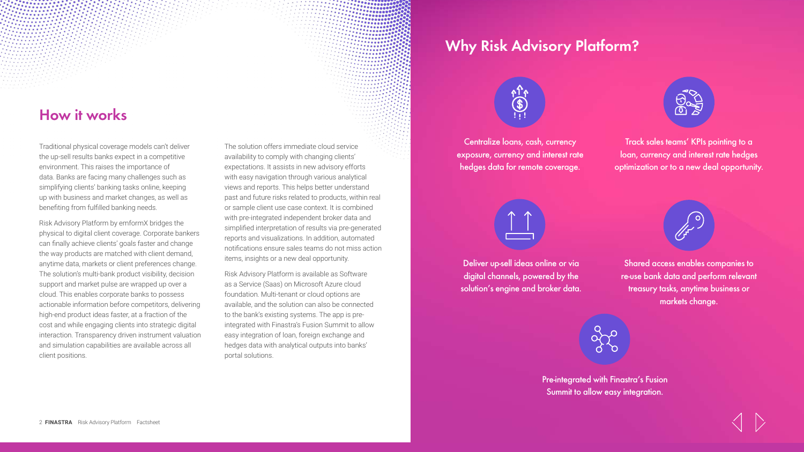## **How it works**

Traditional physical coverage models can't deliver the up-sell results banks expect in a competitive environment. This raises the importance of data. Banks are facing many challenges such as simplifying clients' banking tasks online, keeping up with business and market changes, as well as benefiting from fulfilled banking needs.

Risk Advisory Platform by emformX bridges the physical to digital client coverage. Corporate bankers can finally achieve clients' goals faster and change the way products are matched with client demand, anytime data, markets or client preferences change. The solution's multi-bank product visibility, decision support and market pulse are wrapped up over a cloud. This enables corporate banks to possess actionable information before competitors, delivering high-end product ideas faster, at a fraction of the cost and while engaging clients into strategic digital interaction. Transparency driven instrument valuation and simulation capabilities are available across all client positions.

The solution offers immediate cloud service availability to comply with changing clients' expectations. It assists in new advisory efforts with easy navigation through various analytical views and reports. This helps better understand past and future risks related to products, within real or sample client use case context. It is combined with pre-integrated independent broker data and simplified interpretation of results via pre-generated reports and visualizations. In addition, automated notifications ensure sales teams do not [mi](http://www.finastra.com/)ss action items, insights or a new deal opportunity.

 $......$ ........  $0.00000$ 

Risk Advisory Platform is available as Software as a Service (Saas) on Microsoft Azure cloud foundation. Multi-tenant or cloud options are available, and the solution can also be connected to the bank's existing systems. The app is preintegrated with Finastra's Fusion Summit to allow easy integration of loan, foreign exchange and hedges data with analytical outputs into banks' portal solutions.

## **Why Risk Advisory Platform?**



Centralize loans, cash, currency exposure, currency and interest rate hedges data for remote coverage.



Track sales teams' KPIs pointing to a loan, currency and interest rate hedges optimization or to a new deal opportunity.



Deliver up-sell ideas online or via digital channels, powered by the solution's engine and broker data.



Shared access enables companies to re-use bank data and perform relevant treasury tasks, anytime business or markets change.

Pre-integrated with Finastra's Fusion Summit to allow easy integration.